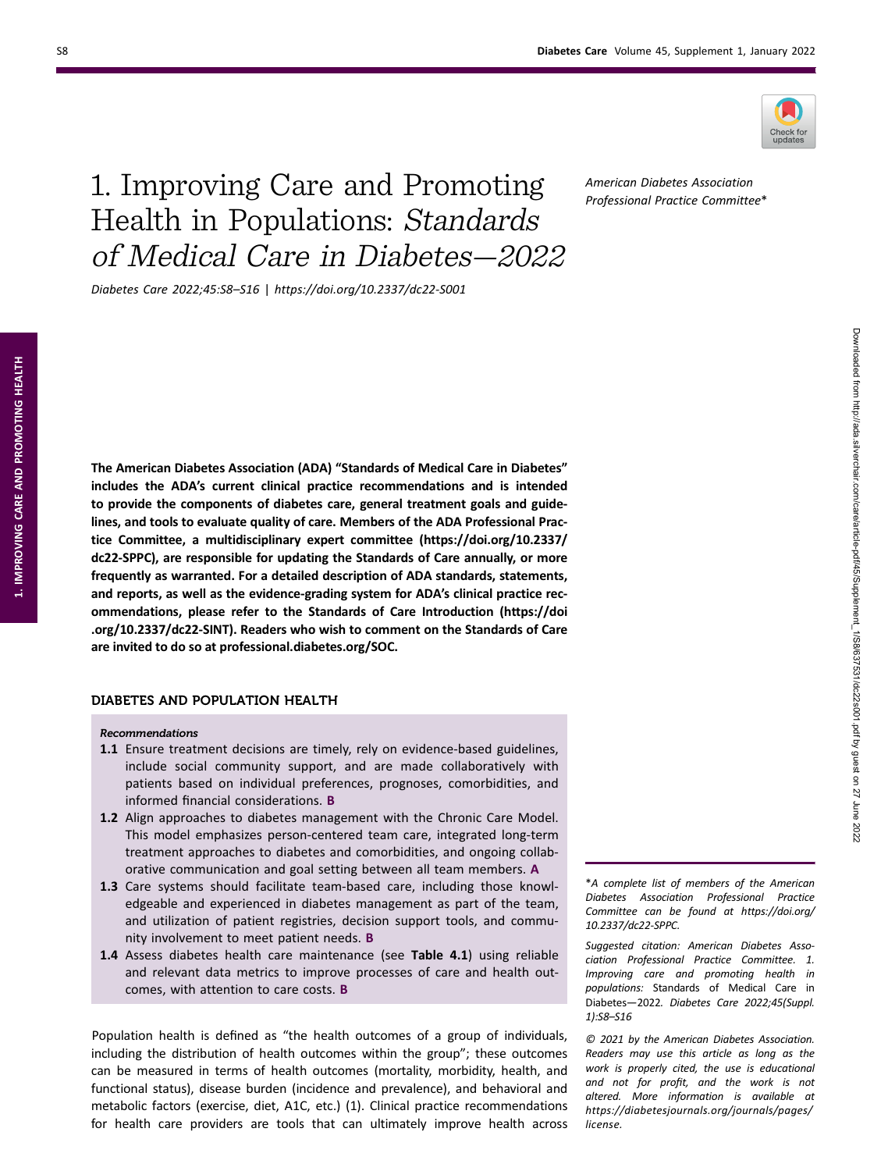

# 1. Improving Care and Promoting Health in Populations: Standards of Medical Care in Diabetes—2022

Diabetes Care 2022;45:S8–S16 | https://doi.org/10.2337/dc22-S001

American Diabetes Association Professional Practice Committee\*

The American Diabetes Association (ADA) "Standards of Medical Care in Diabetes" includes the ADA's current clinical practice recommendations and is intended to provide the components of diabetes care, general treatment goals and guidelines, and tools to evaluate quality of care. Members of the ADA Professional Practice Committee, a multidisciplinary expert committee [\(https://doi.org/10.2337/](https://doi.org/10.2337/dc22-SPPC) [dc22-SPPC](https://doi.org/10.2337/dc22-SPPC)), are responsible for updating the Standards of Care annually, or more frequently as warranted. For a detailed description of ADA standards, statements, and reports, as well as the evidence-grading system for ADA's clinical practice recommendations, please refer to the Standards of Care Introduction [\(https://doi](https://doi.org/10.2337/dc22-SINT) [.org/10.2337/dc22-SINT](https://doi.org/10.2337/dc22-SINT)). Readers who wish to comment on the Standards of Care are invited to do so at [professional.diabetes.org/SOC.](https://professional.diabetes.org/SOC)

# DIABETES AND POPULATION HEALTH

#### Recommendations

- 1.1 Ensure treatment decisions are timely, rely on evidence-based guidelines, include social community support, and are made collaboratively with patients based on individual preferences, prognoses, comorbidities, and informed financial considerations. B
- 1.2 Align approaches to diabetes management with the Chronic Care Model. This model emphasizes person-centered team care, integrated long-term treatment approaches to diabetes and comorbidities, and ongoing collaborative communication and goal setting between all team members. A
- 1.3 Care systems should facilitate team-based care, including those knowledgeable and experienced in diabetes management as part of the team, and utilization of patient registries, decision support tools, and community involvement to meet patient needs. B
- 1.4 Assess diabetes health care maintenance (see Table 4.1) using reliable and relevant data metrics to improve processes of care and health outcomes, with attention to care costs. B

Population health is defined as "the health outcomes of a group of individuals, including the distribution of health outcomes within the group"; these outcomes can be measured in terms of health outcomes (mortality, morbidity, health, and functional status), disease burden (incidence and prevalence), and behavioral and metabolic factors (exercise, diet, A1C, etc.) (1). Clinical practice recommendations for health care providers are tools that can ultimately improve health across

\*A complete list of members of the American Diabetes Association Professional Practice Committee can be found at [https://doi.org/](https://doi.org/10.2337/dc22-SPPC) [10.2337/dc22-SPPC](https://doi.org/10.2337/dc22-SPPC).

Suggested citation: American Diabetes Association Professional Practice Committee. 1. Improving care and promoting health in populations: Standards of Medical Care in Diabetes—2022. Diabetes Care 2022;45(Suppl. 1):S8–S16

© 2021 by the American Diabetes Association. Readers may use this article as long as the work is properly cited, the use is educational and not for profit, and the work is not altered. More information is available at [https://diabetesjournals.org/journals/pages/](https://diabetesjournals.org/journals/pages/license) [license](https://diabetesjournals.org/journals/pages/license).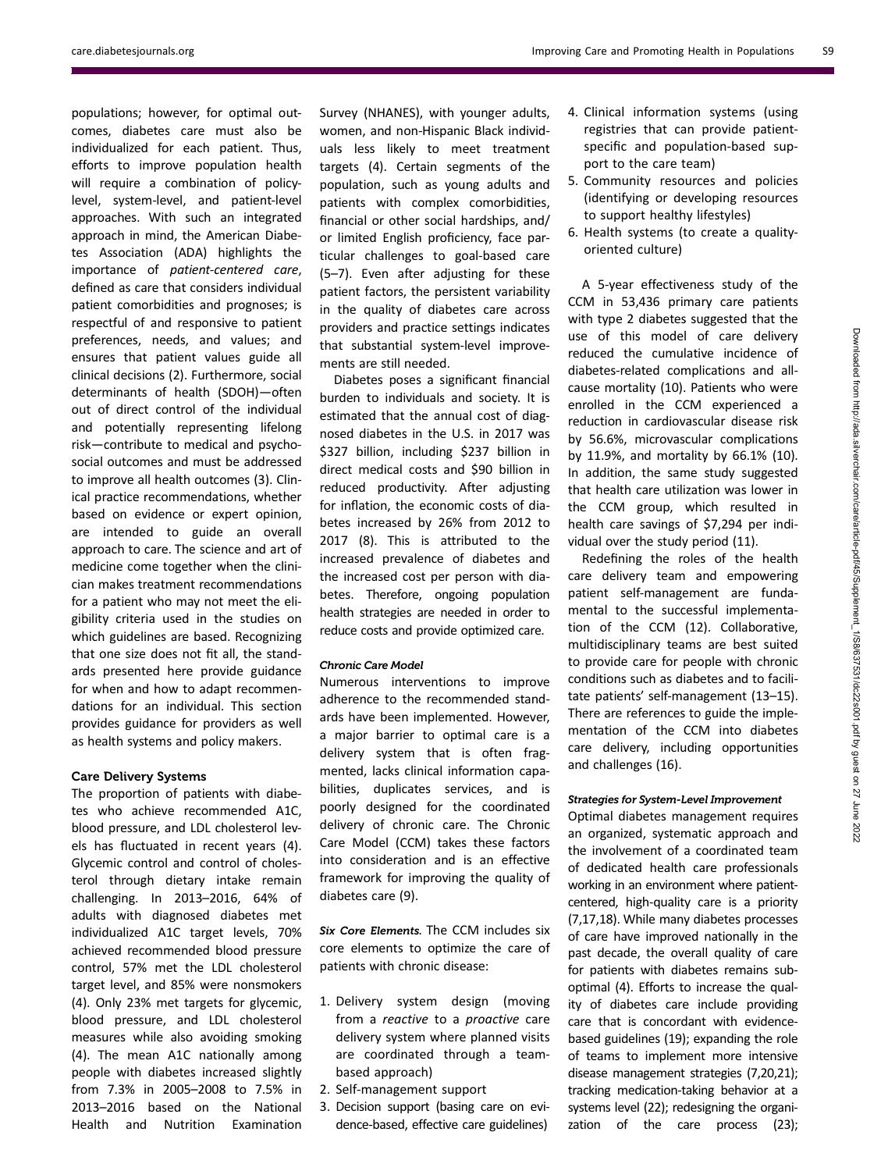populations; however, for optimal outcomes, diabetes care must also be individualized for each patient. Thus, efforts to improve population health will require a combination of policylevel, system-level, and patient-level approaches. With such an integrated approach in mind, the American Diabetes Association (ADA) highlights the importance of patient-centered care, defined as care that considers individual patient comorbidities and prognoses; is respectful of and responsive to patient preferences, needs, and values; and ensures that patient values guide all clinical decisions (2). Furthermore, social determinants of health (SDOH)—often out of direct control of the individual and potentially representing lifelong risk—contribute to medical and psychosocial outcomes and must be addressed to improve all health outcomes (3). Clinical practice recommendations, whether based on evidence or expert opinion, are intended to guide an overall approach to care. The science and art of medicine come together when the clinician makes treatment recommendations for a patient who may not meet the eligibility criteria used in the studies on which guidelines are based. Recognizing that one size does not fit all, the standards presented here provide guidance for when and how to adapt recommendations for an individual. This section provides guidance for providers as well as health systems and policy makers.

# Care Delivery Systems

The proportion of patients with diabetes who achieve recommended A1C, blood pressure, and LDL cholesterol levels has fluctuated in recent years (4). Glycemic control and control of cholesterol through dietary intake remain challenging. In 2013–2016, 64% of adults with diagnosed diabetes met individualized A1C target levels, 70% achieved recommended blood pressure control, 57% met the LDL cholesterol target level, and 85% were nonsmokers (4). Only 23% met targets for glycemic, blood pressure, and LDL cholesterol measures while also avoiding smoking (4). The mean A1C nationally among people with diabetes increased slightly from 7.3% in 2005–2008 to 7.5% in 2013–2016 based on the National Health and Nutrition Examination

Survey (NHANES), with younger adults, women, and non-Hispanic Black individuals less likely to meet treatment targets (4). Certain segments of the population, such as young adults and patients with complex comorbidities, financial or other social hardships, and/ or limited English proficiency, face particular challenges to goal-based care (5–7). Even after adjusting for these patient factors, the persistent variability in the quality of diabetes care across providers and practice settings indicates that substantial system-level improvements are still needed.

Diabetes poses a significant financial burden to individuals and society. It is estimated that the annual cost of diagnosed diabetes in the U.S. in 2017 was \$327 billion, including \$237 billion in direct medical costs and \$90 billion in reduced productivity. After adjusting for inflation, the economic costs of diabetes increased by 26% from 2012 to 2017 (8). This is attributed to the increased prevalence of diabetes and the increased cost per person with diabetes. Therefore, ongoing population health strategies are needed in order to reduce costs and provide optimized care.

## Chronic Care Model

Numerous interventions to improve adherence to the recommended standards have been implemented. However, a major barrier to optimal care is a delivery system that is often fragmented, lacks clinical information capabilities, duplicates services, and is poorly designed for the coordinated delivery of chronic care. The Chronic Care Model (CCM) takes these factors into consideration and is an effective framework for improving the quality of diabetes care (9).

Six Core Elements. The CCM includes six core elements to optimize the care of patients with chronic disease:

- 1. Delivery system design (moving from a reactive to a proactive care delivery system where planned visits are coordinated through a teambased approach)
- 2. Self-management support
- 3. Decision support (basing care on evidence-based, effective care guidelines)
- 4. Clinical information systems (using registries that can provide patientspecific and population-based support to the care team)
- 5. Community resources and policies (identifying or developing resources to support healthy lifestyles)
- 6. Health systems (to create a qualityoriented culture)

A 5-year effectiveness study of the CCM in 53,436 primary care patients with type 2 diabetes suggested that the use of this model of care delivery reduced the cumulative incidence of diabetes-related complications and allcause mortality (10). Patients who were enrolled in the CCM experienced a reduction in cardiovascular disease risk by 56.6%, microvascular complications by 11.9%, and mortality by 66.1% (10). In addition, the same study suggested that health care utilization was lower in the CCM group, which resulted in health care savings of \$7,294 per individual over the study period (11).

Redefining the roles of the health care delivery team and empowering patient self-management are fundamental to the successful implementation of the CCM (12). Collaborative, multidisciplinary teams are best suited to provide care for people with chronic conditions such as diabetes and to facilitate patients' self-management (13–15). There are references to guide the implementation of the CCM into diabetes care delivery, including opportunities and challenges (16).

## Strategies for System-Level Improvement

Optimal diabetes management requires an organized, systematic approach and the involvement of a coordinated team of dedicated health care professionals working in an environment where patientcentered, high-quality care is a priority (7,17,18). While many diabetes processes of care have improved nationally in the past decade, the overall quality of care for patients with diabetes remains suboptimal (4). Efforts to increase the quality of diabetes care include providing care that is concordant with evidencebased guidelines (19); expanding the role of teams to implement more intensive disease management strategies (7,20,21); tracking medication-taking behavior at a systems level (22); redesigning the organization of the care process (23);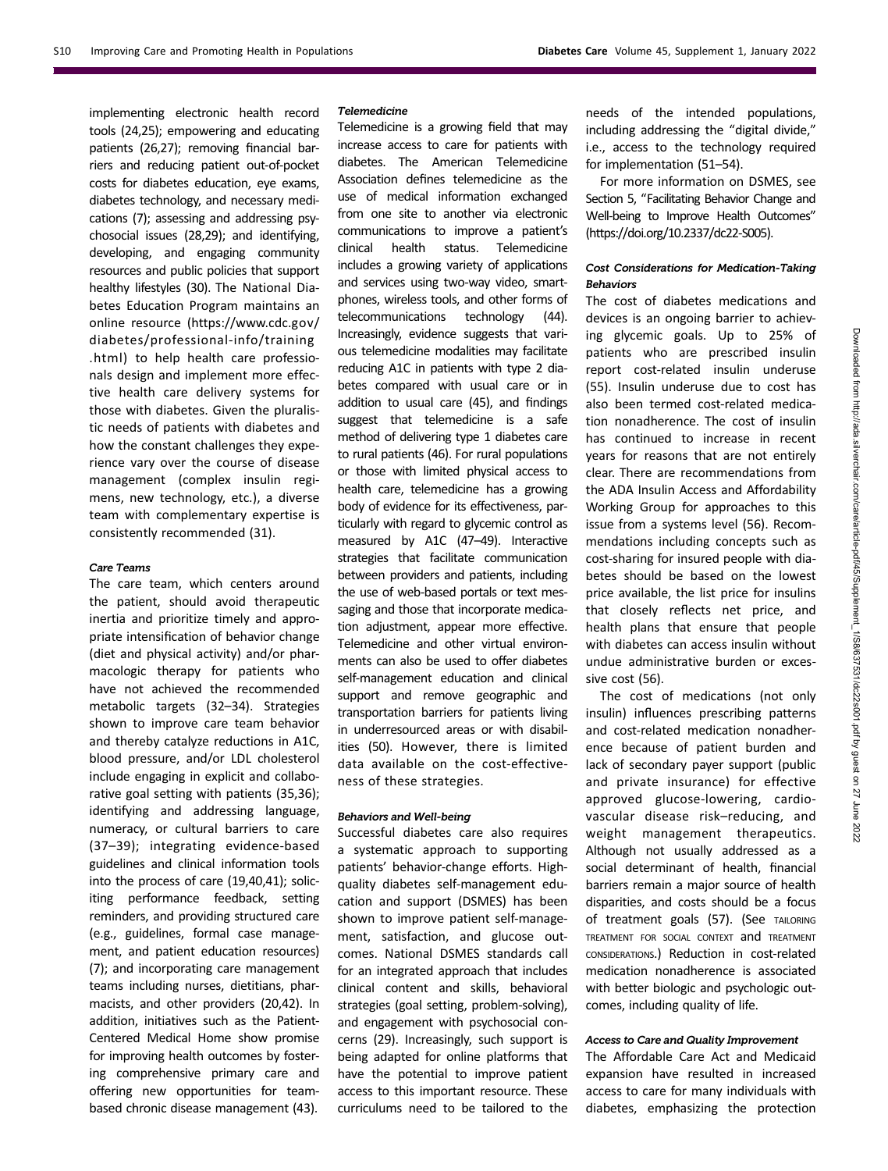implementing electronic health record tools (24,25); empowering and educating patients (26,27); removing financial barriers and reducing patient out-of-pocket costs for diabetes education, eye exams, diabetes technology, and necessary medications (7); assessing and addressing psychosocial issues (28,29); and identifying, developing, and engaging community resources and public policies that support healthy lifestyles (30). The National Diabetes Education Program maintains an online resource [\(https://www.cdc.gov/](https://www.cdc.gov/diabetes/professional-info/training.html) [diabetes/professional-info/training](https://www.cdc.gov/diabetes/professional-info/training.html) [.html](https://www.cdc.gov/diabetes/professional-info/training.html)) to help health care professionals design and implement more effective health care delivery systems for those with diabetes. Given the pluralistic needs of patients with diabetes and how the constant challenges they experience vary over the course of disease management (complex insulin regimens, new technology, etc.), a diverse team with complementary expertise is consistently recommended (31).

## Care Teams

The care team, which centers around the patient, should avoid therapeutic inertia and prioritize timely and appropriate intensification of behavior change (diet and physical activity) and/or pharmacologic therapy for patients who have not achieved the recommended metabolic targets (32–34). Strategies shown to improve care team behavior and thereby catalyze reductions in A1C, blood pressure, and/or LDL cholesterol include engaging in explicit and collaborative goal setting with patients (35,36); identifying and addressing language, numeracy, or cultural barriers to care (37–39); integrating evidence-based guidelines and clinical information tools into the process of care (19,40,41); soliciting performance feedback, setting reminders, and providing structured care (e.g., guidelines, formal case management, and patient education resources) (7); and incorporating care management teams including nurses, dietitians, pharmacists, and other providers (20,42). In addition, initiatives such as the Patient-Centered Medical Home show promise for improving health outcomes by fostering comprehensive primary care and offering new opportunities for teambased chronic disease management (43).

# Telemedicine

Telemedicine is a growing field that may increase access to care for patients with diabetes. The American Telemedicine Association defines telemedicine as the use of medical information exchanged from one site to another via electronic communications to improve a patient's clinical health status. Telemedicine includes a growing variety of applications and services using two-way video, smartphones, wireless tools, and other forms of telecommunications technology (44). Increasingly, evidence suggests that various telemedicine modalities may facilitate reducing A1C in patients with type 2 diabetes compared with usual care or in addition to usual care (45), and findings suggest that telemedicine is a safe method of delivering type 1 diabetes care to rural patients (46). For rural populations or those with limited physical access to health care, telemedicine has a growing body of evidence for its effectiveness, particularly with regard to glycemic control as measured by A1C (47–49). Interactive strategies that facilitate communication between providers and patients, including the use of web-based portals or text messaging and those that incorporate medication adjustment, appear more effective. Telemedicine and other virtual environments can also be used to offer diabetes self-management education and clinical support and remove geographic and transportation barriers for patients living in underresourced areas or with disabilities (50). However, there is limited data available on the cost-effectiveness of these strategies.

# Behaviors and Well-being

Successful diabetes care also requires a systematic approach to supporting patients' behavior-change efforts. Highquality diabetes self-management education and support (DSMES) has been shown to improve patient self-management, satisfaction, and glucose outcomes. National DSMES standards call for an integrated approach that includes clinical content and skills, behavioral strategies (goal setting, problem-solving), and engagement with psychosocial concerns (29). Increasingly, such support is being adapted for online platforms that have the potential to improve patient access to this important resource. These curriculums need to be tailored to the

needs of the intended populations, including addressing the "digital divide," i.e., access to the technology required for implementation (51–54).

For more information on DSMES, see Section 5, "Facilitating Behavior Change and Well-being to Improve Health Outcomes" [\(https://doi.org/10.2337/dc22-S005\)](https://doi.org/10.2337/dc22-S005).

# Cost Considerations for Medication-Taking Behaviors

The cost of diabetes medications and devices is an ongoing barrier to achieving glycemic goals. Up to 25% of patients who are prescribed insulin report cost-related insulin underuse (55). Insulin underuse due to cost has also been termed cost-related medication nonadherence. The cost of insulin has continued to increase in recent years for reasons that are not entirely clear. There are recommendations from the ADA Insulin Access and Affordability Working Group for approaches to this issue from a systems level (56). Recommendations including concepts such as cost-sharing for insured people with diabetes should be based on the lowest price available, the list price for insulins that closely reflects net price, and health plans that ensure that people with diabetes can access insulin without undue administrative burden or excessive cost (56).

The cost of medications (not only insulin) influences prescribing patterns and cost-related medication nonadherence because of patient burden and lack of secondary payer support (public and private insurance) for effective approved glucose-lowering, cardiovascular disease risk–reducing, and weight management therapeutics. Although not usually addressed as a social determinant of health, financial barriers remain a major source of health disparities, and costs should be a focus of treatment goals (57). (See TAILORING TREATMENT FOR SOCIAL CONTEXT and TREATMENT CONSIDERATIONS.) Reduction in cost-related medication nonadherence is associated with better biologic and psychologic outcomes, including quality of life.

#### Access to Care and Quality Improvement

The Affordable Care Act and Medicaid expansion have resulted in increased access to care for many individuals with diabetes, emphasizing the protection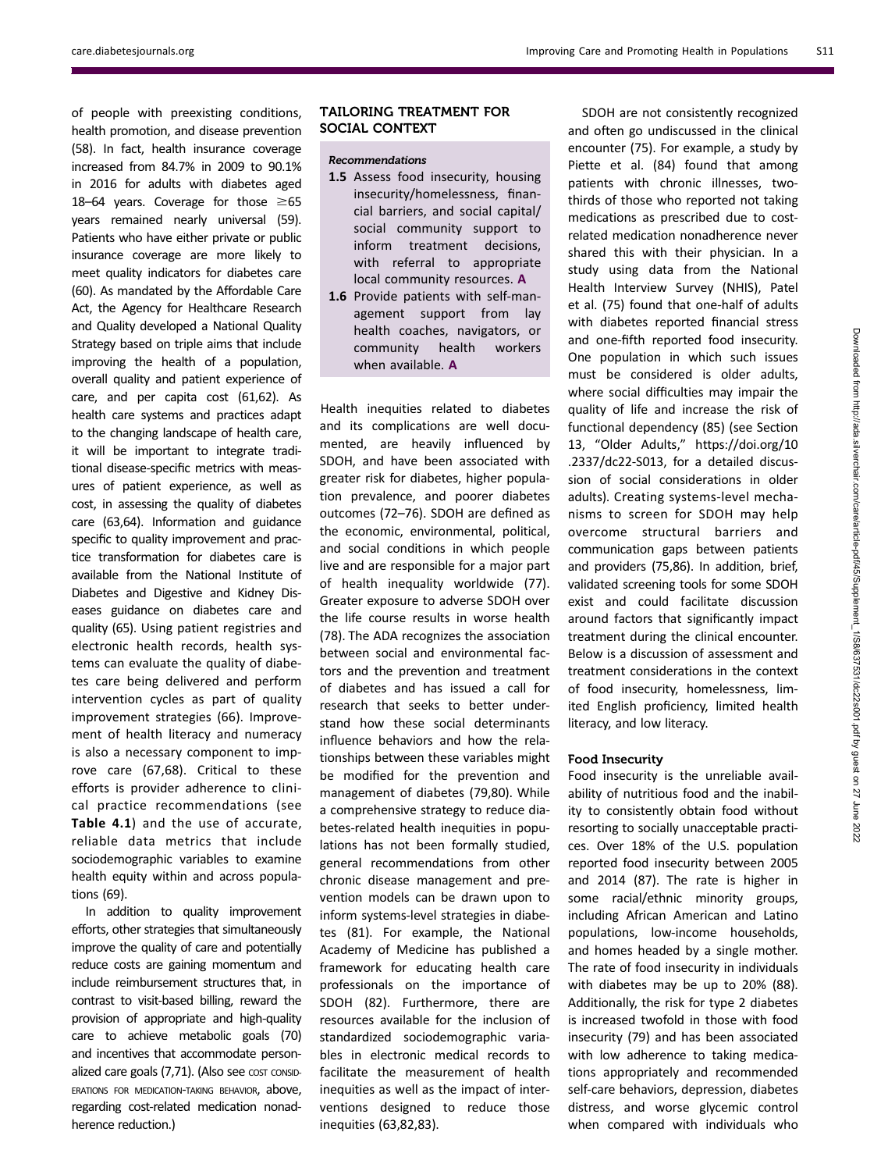of people with preexisting conditions, health promotion, and disease prevention (58). In fact, health insurance coverage increased from 84.7% in 2009 to 90.1% in 2016 for adults with diabetes aged 18–64 years. Coverage for those  $\geq 65$ years remained nearly universal (59). Patients who have either private or public insurance coverage are more likely to meet quality indicators for diabetes care (60). As mandated by the Affordable Care Act, the Agency for Healthcare Research and Quality developed a National Quality Strategy based on triple aims that include improving the health of a population, overall quality and patient experience of care, and per capita cost (61,62). As health care systems and practices adapt to the changing landscape of health care, it will be important to integrate traditional disease-specific metrics with measures of patient experience, as well as cost, in assessing the quality of diabetes care (63,64). Information and guidance specific to quality improvement and practice transformation for diabetes care is available from the National Institute of Diabetes and Digestive and Kidney Diseases guidance on diabetes care and quality (65). Using patient registries and electronic health records, health systems can evaluate the quality of diabetes care being delivered and perform intervention cycles as part of quality improvement strategies (66). Improvement of health literacy and numeracy is also a necessary component to improve care (67,68). Critical to these efforts is provider adherence to clinical practice recommendations (see Table 4.1) and the use of accurate, reliable data metrics that include sociodemographic variables to examine health equity within and across populations (69).

In addition to quality improvement efforts, other strategies that simultaneously improve the quality of care and potentially reduce costs are gaining momentum and include reimbursement structures that, in contrast to visit-based billing, reward the provision of appropriate and high-quality care to achieve metabolic goals (70) and incentives that accommodate personalized care goals (7,71). (Also see cost consid-ERATIONS FOR MEDICATION-TAKING BEHAVIOR, above, regarding cost-related medication nonadherence reduction.)

# TAILORING TREATMENT FOR SOCIAL CONTEXT

## Recommendations

- 1.5 Assess food insecurity, housing insecurity/homelessness, financial barriers, and social capital/ social community support to inform treatment decisions, with referral to appropriate local community resources. A
- 1.6 Provide patients with self-management support from lay health coaches, navigators, or community health workers when available. A

Health inequities related to diabetes and its complications are well documented, are heavily influenced by SDOH, and have been associated with greater risk for diabetes, higher population prevalence, and poorer diabetes outcomes (72–76). SDOH are defined as the economic, environmental, political, and social conditions in which people live and are responsible for a major part of health inequality worldwide (77). Greater exposure to adverse SDOH over the life course results in worse health (78). The ADA recognizes the association between social and environmental factors and the prevention and treatment of diabetes and has issued a call for research that seeks to better understand how these social determinants influence behaviors and how the relationships between these variables might be modified for the prevention and management of diabetes (79,80). While a comprehensive strategy to reduce diabetes-related health inequities in populations has not been formally studied, general recommendations from other chronic disease management and prevention models can be drawn upon to inform systems-level strategies in diabetes (81). For example, the National Academy of Medicine has published a framework for educating health care professionals on the importance of SDOH (82). Furthermore, there are resources available for the inclusion of standardized sociodemographic variables in electronic medical records to facilitate the measurement of health inequities as well as the impact of interventions designed to reduce those inequities (63,82,83).

SDOH are not consistently recognized and often go undiscussed in the clinical encounter (75). For example, a study by Piette et al. (84) found that among patients with chronic illnesses, twothirds of those who reported not taking medications as prescribed due to costrelated medication nonadherence never shared this with their physician. In a study using data from the National Health Interview Survey (NHIS), Patel et al. (75) found that one-half of adults with diabetes reported financial stress and one-fifth reported food insecurity. One population in which such issues must be considered is older adults, where social difficulties may impair the quality of life and increase the risk of functional dependency (85) (see Section 13, "Older Adults," [https://doi.org/10](https://doi.org/10.2337/dc22-S013) [.2337/dc22-S013,](https://doi.org/10.2337/dc22-S013) for a detailed discussion of social considerations in older adults). Creating systems-level mechanisms to screen for SDOH may help overcome structural barriers and communication gaps between patients and providers (75,86). In addition, brief, validated screening tools for some SDOH exist and could facilitate discussion around factors that significantly impact treatment during the clinical encounter. Below is a discussion of assessment and treatment considerations in the context of food insecurity, homelessness, limited English proficiency, limited health literacy, and low literacy.

## Food Insecurity

Food insecurity is the unreliable availability of nutritious food and the inability to consistently obtain food without resorting to socially unacceptable practices. Over 18% of the U.S. population reported food insecurity between 2005 and 2014 (87). The rate is higher in some racial/ethnic minority groups, including African American and Latino populations, low-income households, and homes headed by a single mother. The rate of food insecurity in individuals with diabetes may be up to 20% (88). Additionally, the risk for type 2 diabetes is increased twofold in those with food insecurity (79) and has been associated with low adherence to taking medications appropriately and recommended self-care behaviors, depression, diabetes distress, and worse glycemic control when compared with individuals who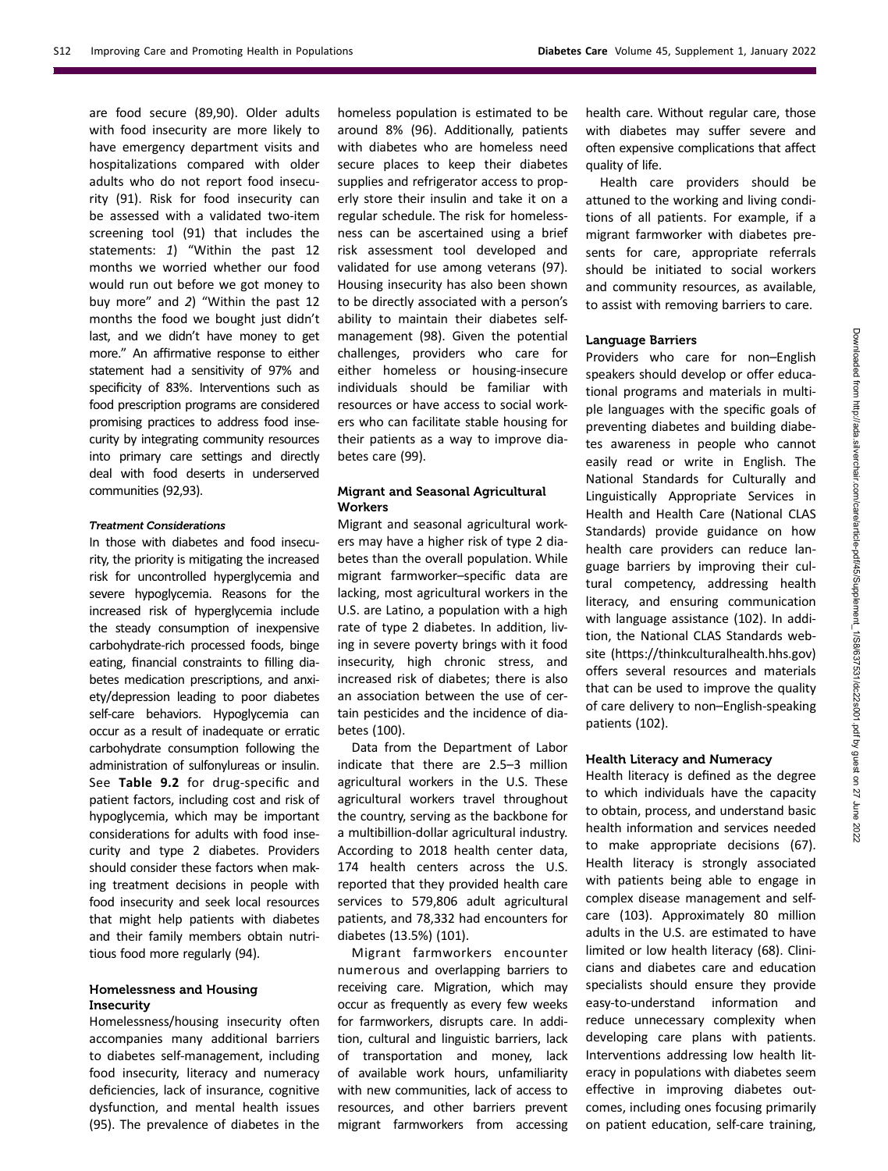are food secure (89,90). Older adults with food insecurity are more likely to have emergency department visits and hospitalizations compared with older adults who do not report food insecurity (91). Risk for food insecurity can be assessed with a validated two-item screening tool (91) that includes the statements: 1) "Within the past 12 months we worried whether our food would run out before we got money to buy more" and 2) "Within the past 12 months the food we bought just didn't last, and we didn't have money to get more." An affirmative response to either statement had a sensitivity of 97% and specificity of 83%. Interventions such as food prescription programs are considered promising practices to address food insecurity by integrating community resources into primary care settings and directly deal with food deserts in underserved communities (92,93).

#### Treatment Considerations

In those with diabetes and food insecurity, the priority is mitigating the increased risk for uncontrolled hyperglycemia and severe hypoglycemia. Reasons for the increased risk of hyperglycemia include the steady consumption of inexpensive carbohydrate-rich processed foods, binge eating, financial constraints to filling diabetes medication prescriptions, and anxiety/depression leading to poor diabetes self-care behaviors. Hypoglycemia can occur as a result of inadequate or erratic carbohydrate consumption following the administration of sulfonylureas or insulin. See Table 9.2 for drug-specific and patient factors, including cost and risk of hypoglycemia, which may be important considerations for adults with food insecurity and type 2 diabetes. Providers should consider these factors when making treatment decisions in people with food insecurity and seek local resources that might help patients with diabetes and their family members obtain nutritious food more regularly (94).

# Homelessness and Housing **Insecurity**

Homelessness/housing insecurity often accompanies many additional barriers to diabetes self-management, including food insecurity, literacy and numeracy deficiencies, lack of insurance, cognitive dysfunction, and mental health issues (95). The prevalence of diabetes in the

homeless population is estimated to be around 8% (96). Additionally, patients with diabetes who are homeless need secure places to keep their diabetes supplies and refrigerator access to properly store their insulin and take it on a regular schedule. The risk for homelessness can be ascertained using a brief risk assessment tool developed and validated for use among veterans (97). Housing insecurity has also been shown to be directly associated with a person's ability to maintain their diabetes selfmanagement (98). Given the potential challenges, providers who care for either homeless or housing-insecure individuals should be familiar with resources or have access to social workers who can facilitate stable housing for their patients as a way to improve diabetes care (99).

# Migrant and Seasonal Agricultural **Workers**

Migrant and seasonal agricultural workers may have a higher risk of type 2 diabetes than the overall population. While migrant farmworker–specific data are lacking, most agricultural workers in the U.S. are Latino, a population with a high rate of type 2 diabetes. In addition, living in severe poverty brings with it food insecurity, high chronic stress, and increased risk of diabetes; there is also an association between the use of certain pesticides and the incidence of diabetes (100).

Data from the Department of Labor indicate that there are 2.5–3 million agricultural workers in the U.S. These agricultural workers travel throughout the country, serving as the backbone for a multibillion-dollar agricultural industry. According to 2018 health center data, 174 health centers across the U.S. reported that they provided health care services to 579,806 adult agricultural patients, and 78,332 had encounters for diabetes (13.5%) (101).

Migrant farmworkers encounter numerous and overlapping barriers to receiving care. Migration, which may occur as frequently as every few weeks for farmworkers, disrupts care. In addition, cultural and linguistic barriers, lack of transportation and money, lack of available work hours, unfamiliarity with new communities, lack of access to resources, and other barriers prevent migrant farmworkers from accessing

health care. Without regular care, those with diabetes may suffer severe and often expensive complications that affect quality of life.

Health care providers should be attuned to the working and living conditions of all patients. For example, if a migrant farmworker with diabetes presents for care, appropriate referrals should be initiated to social workers and community resources, as available, to assist with removing barriers to care.

# Language Barriers

Providers who care for non–English speakers should develop or offer educational programs and materials in multiple languages with the specific goals of preventing diabetes and building diabetes awareness in people who cannot easily read or write in English. The National Standards for Culturally and Linguistically Appropriate Services in Health and Health Care (National CLAS Standards) provide guidance on how health care providers can reduce language barriers by improving their cultural competency, addressing health literacy, and ensuring communication with language assistance (102). In addition, the National CLAS Standards website [\(https://thinkculturalhealth.hhs.gov](https://thinkculturalhealth.hhs.gov)) offers several resources and materials that can be used to improve the quality of care delivery to non–English-speaking patients (102).

# Health Literacy and Numeracy

Health literacy is defined as the degree to which individuals have the capacity to obtain, process, and understand basic health information and services needed to make appropriate decisions (67). Health literacy is strongly associated with patients being able to engage in complex disease management and selfcare (103). Approximately 80 million adults in the U.S. are estimated to have limited or low health literacy (68). Clinicians and diabetes care and education specialists should ensure they provide easy-to-understand information and reduce unnecessary complexity when developing care plans with patients. Interventions addressing low health literacy in populations with diabetes seem effective in improving diabetes outcomes, including ones focusing primarily on patient education, self-care training,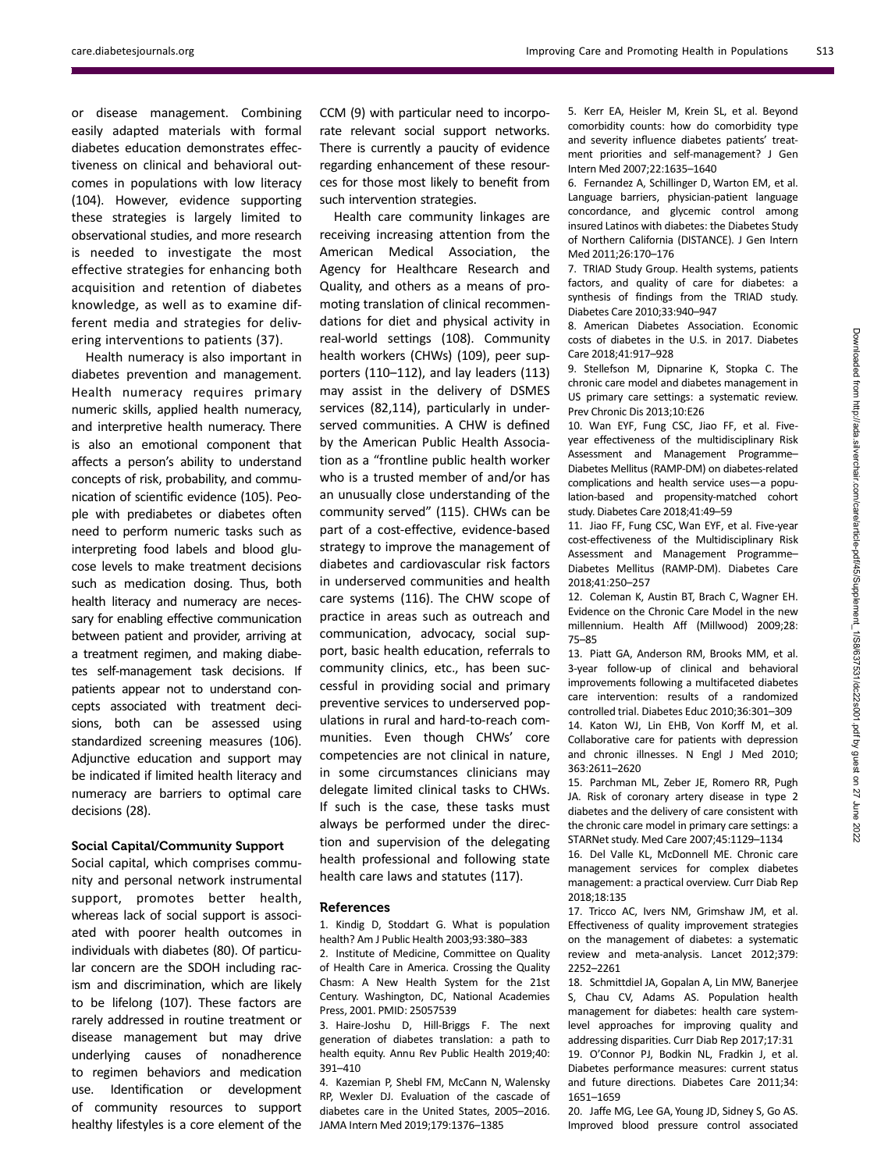or disease management. Combining easily adapted materials with formal diabetes education demonstrates effectiveness on clinical and behavioral outcomes in populations with low literacy (104). However, evidence supporting these strategies is largely limited to observational studies, and more research is needed to investigate the most effective strategies for enhancing both acquisition and retention of diabetes knowledge, as well as to examine different media and strategies for delivering interventions to patients (37).

Health numeracy is also important in diabetes prevention and management. Health numeracy requires primary numeric skills, applied health numeracy, and interpretive health numeracy. There is also an emotional component that affects a person's ability to understand concepts of risk, probability, and communication of scientific evidence (105). People with prediabetes or diabetes often need to perform numeric tasks such as interpreting food labels and blood glucose levels to make treatment decisions such as medication dosing. Thus, both health literacy and numeracy are necessary for enabling effective communication between patient and provider, arriving at a treatment regimen, and making diabetes self-management task decisions. If patients appear not to understand concepts associated with treatment decisions, both can be assessed using standardized screening measures (106). Adjunctive education and support may be indicated if limited health literacy and numeracy are barriers to optimal care decisions (28).

# Social Capital/Community Support

Social capital, which comprises community and personal network instrumental support, promotes better health, whereas lack of social support is associated with poorer health outcomes in individuals with diabetes (80). Of particular concern are the SDOH including racism and discrimination, which are likely to be lifelong (107). These factors are rarely addressed in routine treatment or disease management but may drive underlying causes of nonadherence to regimen behaviors and medication use. Identification or development of community resources to support healthy lifestyles is a core element of the

CCM (9) with particular need to incorporate relevant social support networks. There is currently a paucity of evidence regarding enhancement of these resources for those most likely to benefit from such intervention strategies.

Health care community linkages are receiving increasing attention from the American Medical Association, the Agency for Healthcare Research and Quality, and others as a means of promoting translation of clinical recommendations for diet and physical activity in real-world settings (108). Community health workers (CHWs) (109), peer supporters (110–112), and lay leaders (113) may assist in the delivery of DSMES services (82,114), particularly in underserved communities. A CHW is defined by the American Public Health Association as a "frontline public health worker who is a trusted member of and/or has an unusually close understanding of the community served" (115). CHWs can be part of a cost-effective, evidence-based strategy to improve the management of diabetes and cardiovascular risk factors in underserved communities and health care systems (116). The CHW scope of practice in areas such as outreach and communication, advocacy, social support, basic health education, referrals to community clinics, etc., has been successful in providing social and primary preventive services to underserved populations in rural and hard-to-reach communities. Even though CHWs' core competencies are not clinical in nature, in some circumstances clinicians may delegate limited clinical tasks to CHWs. If such is the case, these tasks must always be performed under the direction and supervision of the delegating health professional and following state health care laws and statutes (117).

#### References

1. Kindig D, Stoddart G. What is population health? Am J Public Health 2003;93:380–383

2. Institute of Medicine, Committee on Quality of Health Care in America. Crossing the Quality Chasm: A New Health System for the 21st Century. Washington, DC, National Academies Press, 2001. PMID: 25057539

3. Haire-Joshu D, Hill-Briggs F. The next generation of diabetes translation: a path to health equity. Annu Rev Public Health 2019;40: 391–410

4. Kazemian P, Shebl FM, McCann N, Walensky RP, Wexler DJ. Evaluation of the cascade of diabetes care in the United States, 2005–2016. JAMA Intern Med 2019;179:1376–1385

5. Kerr EA, Heisler M, Krein SL, et al. Beyond comorbidity counts: how do comorbidity type and severity influence diabetes patients' treatment priorities and self-management? J Gen Intern Med 2007;22:1635–1640

6. Fernandez A, Schillinger D, Warton EM, et al. Language barriers, physician-patient language concordance, and glycemic control among insured Latinos with diabetes: the Diabetes Study of Northern California (DISTANCE). J Gen Intern Med 2011;26:170–176

7. TRIAD Study Group. Health systems, patients factors, and quality of care for diabetes: a synthesis of findings from the TRIAD study. Diabetes Care 2010;33:940–947

8. American Diabetes Association. Economic costs of diabetes in the U.S. in 2017. Diabetes Care 2018;41:917–928

9. Stellefson M, Dipnarine K, Stopka C. The chronic care model and diabetes management in US primary care settings: a systematic review. Prev Chronic Dis 2013;10:E26

10. Wan EYF, Fung CSC, Jiao FF, et al. Fiveyear effectiveness of the multidisciplinary Risk Assessment and Management Programme– Diabetes Mellitus (RAMP-DM) on diabetes-related complications and health service uses—a population-based and propensity-matched cohort study. Diabetes Care 2018;41:49–59

11. Jiao FF, Fung CSC, Wan EYF, et al. Five-year cost-effectiveness of the Multidisciplinary Risk Assessment and Management Programme– Diabetes Mellitus (RAMP-DM). Diabetes Care 2018;41:250–257

12. Coleman K, Austin BT, Brach C, Wagner EH. Evidence on the Chronic Care Model in the new millennium. Health Aff (Millwood) 2009;28: 75–85

13. Piatt GA, Anderson RM, Brooks MM, et al. 3-year follow-up of clinical and behavioral improvements following a multifaceted diabetes care intervention: results of a randomized controlled trial. Diabetes Educ 2010;36:301–309 14. Katon WJ, Lin EHB, Von Korff M, et al. Collaborative care for patients with depression and chronic illnesses. N Engl J Med 2010; 363:2611–2620

15. Parchman ML, Zeber JE, Romero RR, Pugh JA. Risk of coronary artery disease in type 2 diabetes and the delivery of care consistent with the chronic care model in primary care settings: a STARNet study. Med Care 2007;45:1129–1134

16. Del Valle KL, McDonnell ME. Chronic care management services for complex diabetes management: a practical overview. Curr Diab Rep 2018;18:135

17. Tricco AC, Ivers NM, Grimshaw JM, et al. Effectiveness of quality improvement strategies on the management of diabetes: a systematic review and meta-analysis. Lancet 2012;379: 2252–2261

18. Schmittdiel JA, Gopalan A, Lin MW, Banerjee S, Chau CV, Adams AS. Population health management for diabetes: health care systemlevel approaches for improving quality and addressing disparities. Curr Diab Rep 2017;17:31 19. O'Connor PJ, Bodkin NL, Fradkin J, et al. Diabetes performance measures: current status and future directions. Diabetes Care 2011;34: 1651–1659

20. Jaffe MG, Lee GA, Young JD, Sidney S, Go AS. Improved blood pressure control associated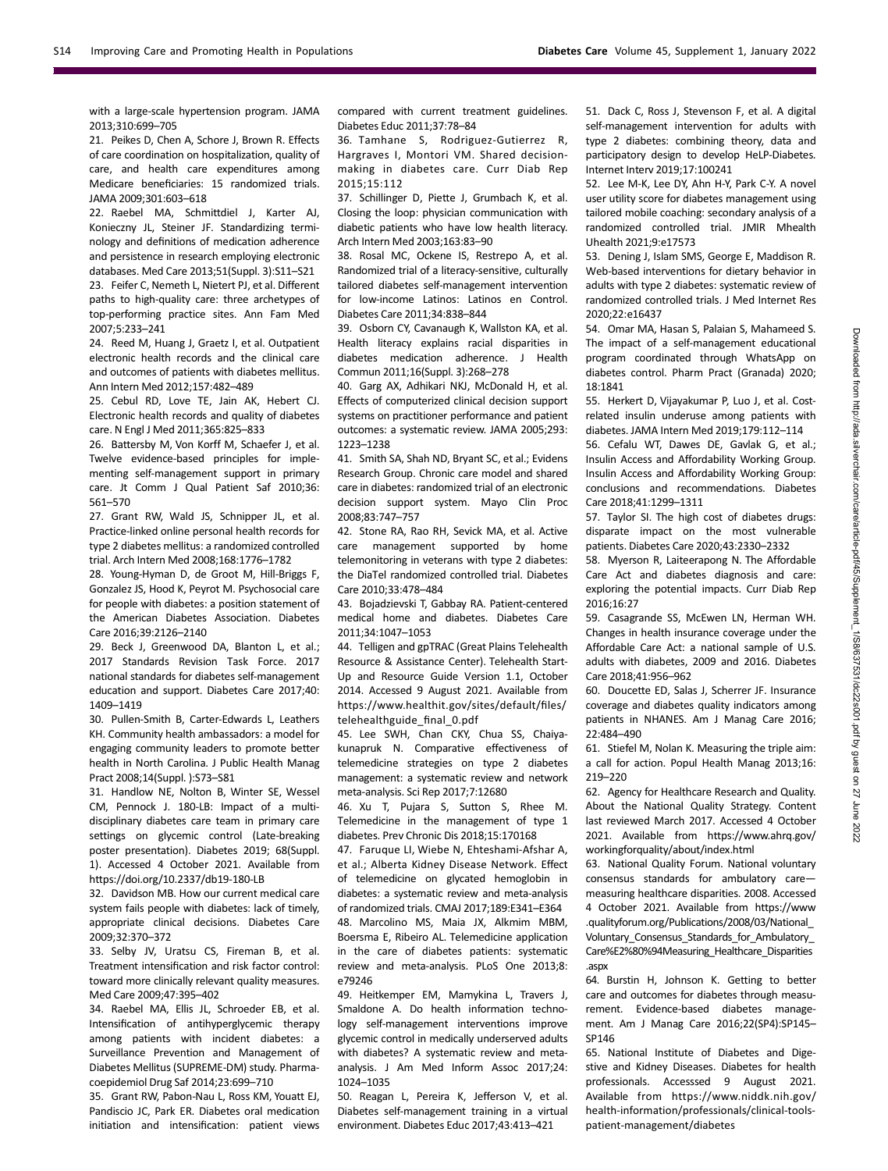with a large-scale hypertension program. JAMA 2013;310:699–705

21. Peikes D, Chen A, Schore J, Brown R. Effects of care coordination on hospitalization, quality of care, and health care expenditures among Medicare beneficiaries: 15 randomized trials. JAMA 2009;301:603–618

22. Raebel MA, Schmittdiel J, Karter AJ, Konieczny JL, Steiner JF. Standardizing terminology and definitions of medication adherence and persistence in research employing electronic databases. Med Care 2013;51(Suppl. 3):S11–S21

23. Feifer C, Nemeth L, Nietert PJ, et al. Different paths to high-quality care: three archetypes of top-performing practice sites. Ann Fam Med 2007;5:233–241

24. Reed M, Huang J, Graetz I, et al. Outpatient electronic health records and the clinical care and outcomes of patients with diabetes mellitus. Ann Intern Med 2012;157:482–489

25. Cebul RD, Love TE, Jain AK, Hebert CJ. Electronic health records and quality of diabetes care. N Engl J Med 2011;365:825–833

26. Battersby M, Von Korff M, Schaefer J, et al. Twelve evidence-based principles for implementing self-management support in primary care. Jt Comm J Qual Patient Saf 2010;36: 561–570

27. Grant RW, Wald JS, Schnipper JL, et al. Practice-linked online personal health records for type 2 diabetes mellitus: a randomized controlled trial. Arch Intern Med 2008;168:1776–1782

28. Young-Hyman D, de Groot M, Hill-Briggs F, Gonzalez JS, Hood K, Peyrot M. Psychosocial care for people with diabetes: a position statement of the American Diabetes Association. Diabetes Care 2016;39:2126–2140

29. Beck J, Greenwood DA, Blanton L, et al.; 2017 Standards Revision Task Force. 2017 national standards for diabetes self-management education and support. Diabetes Care 2017;40: 1409–1419

30. Pullen-Smith B, Carter-Edwards L, Leathers KH. Community health ambassadors: a model for engaging community leaders to promote better health in North Carolina. J Public Health Manag Pract 2008;14(Suppl. ):S73–S81

31. Handlow NE, Nolton B, Winter SE, Wessel CM, Pennock J. 180-LB: Impact of a multidisciplinary diabetes care team in primary care settings on glycemic control (Late-breaking poster presentation). Diabetes 2019; 68(Suppl. 1). Accessed 4 October 2021. Available from <https://doi.org/10.2337/db19-180-LB>

32. Davidson MB. How our current medical care system fails people with diabetes: lack of timely, appropriate clinical decisions. Diabetes Care 2009;32:370–372

33. Selby JV, Uratsu CS, Fireman B, et al. Treatment intensification and risk factor control: toward more clinically relevant quality measures. Med Care 2009;47:395–402

34. Raebel MA, Ellis JL, Schroeder EB, et al. Intensification of antihyperglycemic therapy among patients with incident diabetes: a Surveillance Prevention and Management of Diabetes Mellitus (SUPREME-DM) study. Pharmacoepidemiol Drug Saf 2014;23:699–710

35. Grant RW, Pabon-Nau L, Ross KM, Youatt EJ, Pandiscio JC, Park ER. Diabetes oral medication initiation and intensification: patient views compared with current treatment guidelines. Diabetes Educ 2011;37:78–84

36. Tamhane S, Rodriguez-Gutierrez R, Hargraves I, Montori VM. Shared decisionmaking in diabetes care. Curr Diab Rep 2015;15:112

37. Schillinger D, Piette J, Grumbach K, et al. Closing the loop: physician communication with diabetic patients who have low health literacy. Arch Intern Med 2003;163:83–90

38. Rosal MC, Ockene IS, Restrepo A, et al. Randomized trial of a literacy-sensitive, culturally tailored diabetes self-management intervention for low-income Latinos: Latinos en Control. Diabetes Care 2011;34:838–844

39. Osborn CY, Cavanaugh K, Wallston KA, et al. Health literacy explains racial disparities in diabetes medication adherence. J Health Commun 2011;16(Suppl. 3):268–278

40. Garg AX, Adhikari NKJ, McDonald H, et al. Effects of computerized clinical decision support systems on practitioner performance and patient outcomes: a systematic review. JAMA 2005;293: 1223–1238

41. Smith SA, Shah ND, Bryant SC, et al.; Evidens Research Group. Chronic care model and shared care in diabetes: randomized trial of an electronic decision support system. Mayo Clin Proc 2008;83:747–757

42. Stone RA, Rao RH, Sevick MA, et al. Active care management supported by home telemonitoring in veterans with type 2 diabetes: the DiaTel randomized controlled trial. Diabetes Care 2010;33:478–484

43. Bojadzievski T, Gabbay RA. Patient-centered medical home and diabetes. Diabetes Care 2011;34:1047–1053

44. Telligen and gpTRAC (Great Plains Telehealth Resource & Assistance Center). Telehealth Start-Up and Resource Guide Version 1.1, October 2014. Accessed 9 August 2021. Available from [https://www.healthit.gov/sites/default/](https://www.healthit.gov/sites/default/files/telehealthguide_final_0.pdf)files/ [telehealthguide\\_](https://www.healthit.gov/sites/default/files/telehealthguide_final_0.pdf)final\_0.pdf

45. Lee SWH, Chan CKY, Chua SS, Chaiyakunapruk N. Comparative effectiveness of telemedicine strategies on type 2 diabetes management: a systematic review and network meta-analysis. Sci Rep 2017;7:12680

46. Xu T, Pujara S, Sutton S, Rhee M. Telemedicine in the management of type 1 diabetes. Prev Chronic Dis 2018;15:170168

47. Faruque LI, Wiebe N, Ehteshami-Afshar A, et al.; Alberta Kidney Disease Network. Effect of telemedicine on glycated hemoglobin in diabetes: a systematic review and meta-analysis of randomized trials. CMAJ 2017;189:E341–E364 48. Marcolino MS, Maia JX, Alkmim MBM, Boersma E, Ribeiro AL. Telemedicine application in the care of diabetes patients: systematic review and meta-analysis. PLoS One 2013;8: e79246

49. Heitkemper EM, Mamykina L, Travers J, Smaldone A. Do health information technology self-management interventions improve glycemic control in medically underserved adults with diabetes? A systematic review and metaanalysis. J Am Med Inform Assoc 2017;24: 1024–1035

50. Reagan L, Pereira K, Jefferson V, et al. Diabetes self-management training in a virtual environment. Diabetes Educ 2017;43:413–421

51. Dack C, Ross J, Stevenson F, et al. A digital self-management intervention for adults with type 2 diabetes: combining theory, data and participatory design to develop HeLP-Diabetes. Internet Interv 2019;17:100241

52. Lee M-K, Lee DY, Ahn H-Y, Park C-Y. A novel user utility score for diabetes management using tailored mobile coaching: secondary analysis of a randomized controlled trial. JMIR Mhealth Uhealth 2021;9:e17573

53. Dening J, Islam SMS, George E, Maddison R. Web-based interventions for dietary behavior in adults with type 2 diabetes: systematic review of randomized controlled trials. J Med Internet Res 2020;22:e16437

54. Omar MA, Hasan S, Palaian S, Mahameed S. The impact of a self-management educational program coordinated through WhatsApp on diabetes control. Pharm Pract (Granada) 2020; 18:1841

55. Herkert D, Vijayakumar P, Luo J, et al. Costrelated insulin underuse among patients with diabetes. JAMA Intern Med 2019;179:112–114

56. Cefalu WT, Dawes DE, Gavlak G, et al.; Insulin Access and Affordability Working Group. Insulin Access and Affordability Working Group: conclusions and recommendations. Diabetes Care 2018;41:1299–1311

57. Taylor SI. The high cost of diabetes drugs: disparate impact on the most vulnerable patients. Diabetes Care 2020;43:2330–2332

58. Myerson R, Laiteerapong N. The Affordable Care Act and diabetes diagnosis and care: exploring the potential impacts. Curr Diab Rep 2016;16:27

59. Casagrande SS, McEwen LN, Herman WH. Changes in health insurance coverage under the Affordable Care Act: a national sample of U.S. adults with diabetes, 2009 and 2016. Diabetes Care 2018;41:956–962

60. Doucette ED, Salas J, Scherrer JF. Insurance coverage and diabetes quality indicators among patients in NHANES. Am J Manag Care 2016; 22:484–490

61. Stiefel M, Nolan K. Measuring the triple aim: a call for action. Popul Health Manag 2013;16: 219–220

62. Agency for Healthcare Research and Quality. About the National Quality Strategy. Content last reviewed March 2017. Accessed 4 October 2021. Available from [https://www.ahrq.gov/](https://www.ahrq.gov/workingforquality/about/index.html) [workingforquality/about/index.html](https://www.ahrq.gov/workingforquality/about/index.html)

63. National Quality Forum. National voluntary consensus standards for ambulatory care measuring healthcare disparities. 2008. Accessed 4 October 2021. Available from [https://www](https://www.qualityforum.org/Publications/2008/03/National_Voluntary_Consensus_Standards_for_Ambulatory_Care%E2%80%94Measuring_Healthcare_Disparities.aspx) [.qualityforum.org/Publications/2008/03/National\\_](https://www.qualityforum.org/Publications/2008/03/National_Voluntary_Consensus_Standards_for_Ambulatory_Care%E2%80%94Measuring_Healthcare_Disparities.aspx) [Voluntary\\_Consensus\\_Standards\\_for\\_Ambulatory\\_](https://www.qualityforum.org/Publications/2008/03/National_Voluntary_Consensus_Standards_for_Ambulatory_Care%E2%80%94Measuring_Healthcare_Disparities.aspx) [Care%E2%80%94Measuring\\_Healthcare\\_Disparities](https://www.qualityforum.org/Publications/2008/03/National_Voluntary_Consensus_Standards_for_Ambulatory_Care%E2%80%94Measuring_Healthcare_Disparities.aspx) [.aspx](https://www.qualityforum.org/Publications/2008/03/National_Voluntary_Consensus_Standards_for_Ambulatory_Care%E2%80%94Measuring_Healthcare_Disparities.aspx)

64. Burstin H, Johnson K. Getting to better care and outcomes for diabetes through measurement. Evidence-based diabetes management. Am J Manag Care 2016;22(SP4):SP145– SP146

65. National Institute of Diabetes and Digestive and Kidney Diseases. Diabetes for health professionals. Accesssed 9 August 2021. Available from [https://www.niddk.nih.gov/](https://www.niddk.nih.gov/health-information/professionals/clinical-tools-patient-management/diabetes) [health-information/professionals/clinical-tools](https://www.niddk.nih.gov/health-information/professionals/clinical-tools-patient-management/diabetes)[patient-management/diabetes](https://www.niddk.nih.gov/health-information/professionals/clinical-tools-patient-management/diabetes)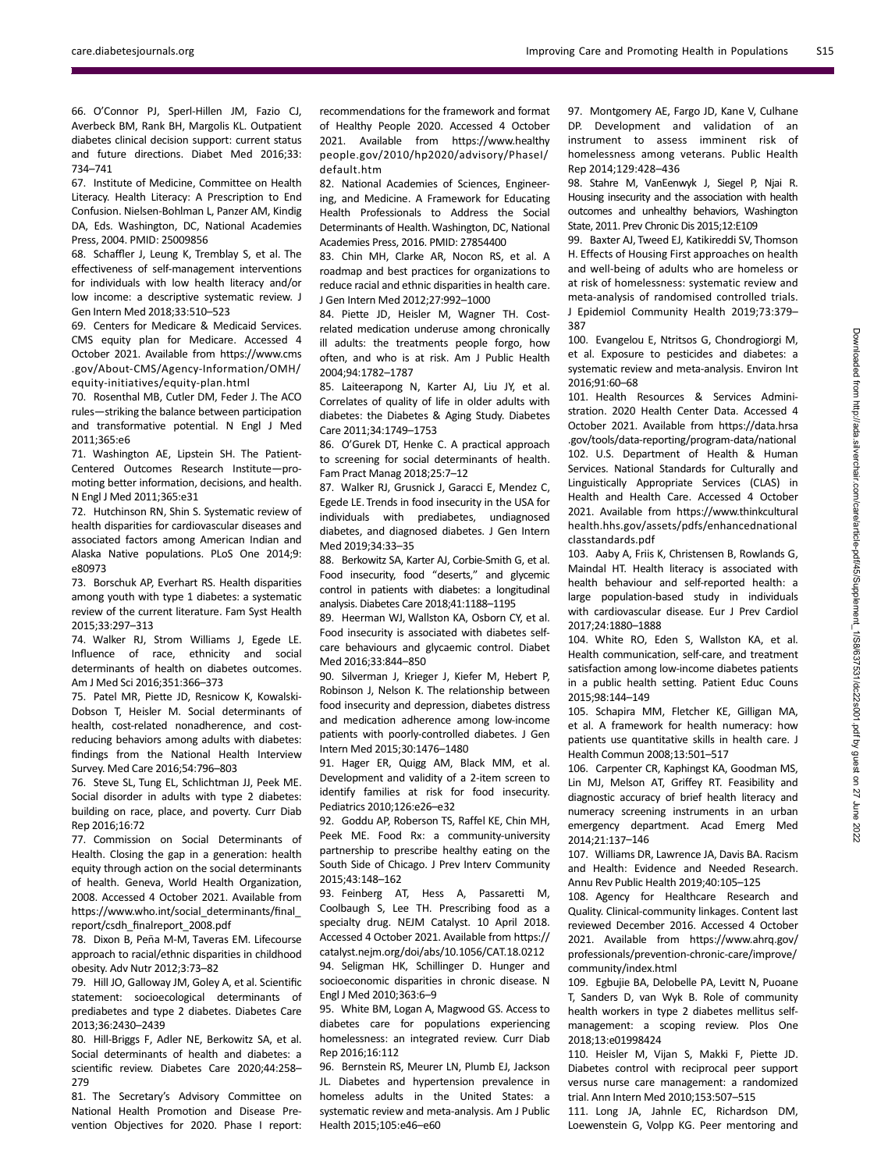66. O'Connor PJ, Sperl-Hillen JM, Fazio CJ, Averbeck BM, Rank BH, Margolis KL. Outpatient diabetes clinical decision support: current status and future directions. Diabet Med 2016;33: 734–741

67. Institute of Medicine, Committee on Health Literacy. Health Literacy: A Prescription to End Confusion. Nielsen-Bohlman L, Panzer AM, Kindig DA, Eds. Washington, DC, National Academies Press, 2004. PMID: 25009856

68. Schaffler J, Leung K, Tremblay S, et al. The effectiveness of self-management interventions for individuals with low health literacy and/or low income: a descriptive systematic review. J Gen Intern Med 2018;33:510–523

69. Centers for Medicare & Medicaid Services. CMS equity plan for Medicare. Accessed 4 October 2021. Available from [https://www.cms](https://www.cms.gov/About-CMS/Agency-Information/OMH/equity-initiatives/equity-plan.html) [.gov/About-CMS/Agency-Information/OMH/](https://www.cms.gov/About-CMS/Agency-Information/OMH/equity-initiatives/equity-plan.html) [equity-initiatives/equity-plan.html](https://www.cms.gov/About-CMS/Agency-Information/OMH/equity-initiatives/equity-plan.html)

70. Rosenthal MB, Cutler DM, Feder J. The ACO rules—striking the balance between participation and transformative potential. N Engl J Med 2011;365:e6

71. Washington AE, Lipstein SH. The Patient-Centered Outcomes Research Institute—promoting better information, decisions, and health. N Engl J Med 2011;365:e31

72. Hutchinson RN, Shin S. Systematic review of health disparities for cardiovascular diseases and associated factors among American Indian and Alaska Native populations. PLoS One 2014;9: e80973

73. Borschuk AP, Everhart RS. Health disparities among youth with type 1 diabetes: a systematic review of the current literature. Fam Syst Health 2015;33:297–313

74. Walker RJ, Strom Williams J, Egede LE. Influence of race, ethnicity and social determinants of health on diabetes outcomes. Am J Med Sci 2016;351:366–373

75. Patel MR, Piette JD, Resnicow K, Kowalski-Dobson T, Heisler M. Social determinants of health, cost-related nonadherence, and costreducing behaviors among adults with diabetes: findings from the National Health Interview Survey. Med Care 2016;54:796–803

76. Steve SL, Tung EL, Schlichtman JJ, Peek ME. Social disorder in adults with type 2 diabetes: building on race, place, and poverty. Curr Diab Rep 2016;16:72

77. Commission on Social Determinants of Health. Closing the gap in a generation: health equity through action on the social determinants of health. Geneva, World Health Organization, 2008. Accessed 4 October 2021. Available from [https://www.who.int/social\\_determinants/](https://www.who.int/social_determinants/final_report/csdh_finalreport_2008.pdf)final\_ report/csdh\_fi[nalreport\\_2008.pdf](https://www.who.int/social_determinants/final_report/csdh_finalreport_2008.pdf)

78. Dixon B, Peña M-M, Taveras EM. Lifecourse approach to racial/ethnic disparities in childhood obesity. Adv Nutr 2012;3:73–82

79. Hill JO, Galloway JM, Goley A, et al. Scientific statement: socioecological determinants of prediabetes and type 2 diabetes. Diabetes Care 2013;36:2430–2439

80. Hill-Briggs F, Adler NE, Berkowitz SA, et al. Social determinants of health and diabetes: a scientific review. Diabetes Care 2020;44:258– 279

81. The Secretary's Advisory Committee on National Health Promotion and Disease Prevention Objectives for 2020. Phase I report: recommendations for the framework and format of Healthy People 2020. Accessed 4 October 2021. Available from [https://www.healthy](https://www.healthypeople.gov/2010/hp2020/advisory/PhaseI/default.htm) [people.gov/2010/hp2020/advisory/PhaseI/](https://www.healthypeople.gov/2010/hp2020/advisory/PhaseI/default.htm) [default.htm](https://www.healthypeople.gov/2010/hp2020/advisory/PhaseI/default.htm)

82. National Academies of Sciences, Engineering, and Medicine. A Framework for Educating Health Professionals to Address the Social Determinants of Health.Washington, DC, National Academies Press, 2016. PMID: 27854400

83. Chin MH, Clarke AR, Nocon RS, et al. A roadmap and best practices for organizations to reduce racial and ethnic disparities in health care. J Gen Intern Med 2012;27:992–1000

84. Piette JD, Heisler M, Wagner TH. Costrelated medication underuse among chronically ill adults: the treatments people forgo, how often, and who is at risk. Am J Public Health 2004;94:1782–1787

85. Laiteerapong N, Karter AJ, Liu JY, et al. Correlates of quality of life in older adults with diabetes: the Diabetes & Aging Study. Diabetes Care 2011;34:1749–1753

86. O'Gurek DT, Henke C. A practical approach to screening for social determinants of health. Fam Pract Manag 2018;25:7–12

87. Walker RJ, Grusnick J, Garacci E, Mendez C, Egede LE. Trends in food insecurity in the USA for individuals with prediabetes, undiagnosed diabetes, and diagnosed diabetes. J Gen Intern Med 2019;34:33–35

88. Berkowitz SA, Karter AJ, Corbie-Smith G, et al. Food insecurity, food "deserts," and glycemic control in patients with diabetes: a longitudinal analysis. Diabetes Care 2018;41:1188–1195

89. Heerman WJ, Wallston KA, Osborn CY, et al. Food insecurity is associated with diabetes selfcare behaviours and glycaemic control. Diabet Med 2016;33:844–850

90. Silverman J, Krieger J, Kiefer M, Hebert P, Robinson J, Nelson K. The relationship between food insecurity and depression, diabetes distress and medication adherence among low-income patients with poorly-controlled diabetes. J Gen Intern Med 2015;30:1476–1480

91. Hager ER, Quigg AM, Black MM, et al. Development and validity of a 2-item screen to identify families at risk for food insecurity. Pediatrics 2010;126:e26–e32

92. Goddu AP, Roberson TS, Raffel KE, Chin MH, Peek ME. Food Rx: a community-university partnership to prescribe healthy eating on the South Side of Chicago. J Prev Interv Community 2015;43:148–162

93. Feinberg AT, Hess A, Passaretti M, Coolbaugh S, Lee TH. Prescribing food as a specialty drug. NEJM Catalyst. 10 April 2018. Accessed 4 October 2021. Available from [https://](https://catalyst.nejm.org/doi/abs/10.1056/CAT.18.0212) [catalyst.nejm.org/doi/abs/10.1056/CAT.18.0212](https://catalyst.nejm.org/doi/abs/10.1056/CAT.18.0212) 94. Seligman HK, Schillinger D. Hunger and socioeconomic disparities in chronic disease. N Engl J Med 2010;363:6–9

95. White BM, Logan A, Magwood GS. Access to diabetes care for populations experiencing homelessness: an integrated review. Curr Diab Rep 2016;16:112

96. Bernstein RS, Meurer LN, Plumb EJ, Jackson JL. Diabetes and hypertension prevalence in homeless adults in the United States: a systematic review and meta-analysis. Am J Public Health 2015;105:e46–e60

97. Montgomery AE, Fargo JD, Kane V, Culhane DP. Development and validation of an instrument to assess imminent risk of homelessness among veterans. Public Health Rep 2014;129:428–436

98. Stahre M, VanEenwyk J, Siegel P, Njai R. Housing insecurity and the association with health outcomes and unhealthy behaviors, Washington State, 2011. Prev Chronic Dis 2015;12:E109

99. Baxter AJ, Tweed EJ, Katikireddi SV, Thomson H. Effects of Housing First approaches on health and well-being of adults who are homeless or at risk of homelessness: systematic review and meta-analysis of randomised controlled trials. J Epidemiol Community Health 2019;73:379– 387

100. Evangelou E, Ntritsos G, Chondrogiorgi M, et al. Exposure to pesticides and diabetes: a systematic review and meta-analysis. Environ Int 2016;91:60–68

101. Health Resources & Services Administration. 2020 Health Center Data. Accessed 4 October 2021. Available from [https://data.hrsa](https://data.hrsa.gov/tools/data-reporting/program-data/national) [.gov/tools/data-reporting/program-data/national](https://data.hrsa.gov/tools/data-reporting/program-data/national) 102. U.S. Department of Health & Human Services. National Standards for Culturally and Linguistically Appropriate Services (CLAS) in Health and Health Care. Accessed 4 October 2021. Available from [https://www.thinkcultural](https://www.thinkculturalhealth.hhs.gov/assets/pdfs/enhancednationalclasstandards.pdf) [health.hhs.gov/assets/pdfs/enhancednational](https://www.thinkculturalhealth.hhs.gov/assets/pdfs/enhancednationalclasstandards.pdf) [classtandards.pdf](https://www.thinkculturalhealth.hhs.gov/assets/pdfs/enhancednationalclasstandards.pdf)

103. Aaby A, Friis K, Christensen B, Rowlands G, Maindal HT. Health literacy is associated with health behaviour and self-reported health: a large population-based study in individuals with cardiovascular disease. Eur J Prev Cardiol 2017;24:1880–1888

104. White RO, Eden S, Wallston KA, et al. Health communication, self-care, and treatment satisfaction among low-income diabetes patients in a public health setting. Patient Educ Couns 2015;98:144–149

105. Schapira MM, Fletcher KE, Gilligan MA, et al. A framework for health numeracy: how patients use quantitative skills in health care. J Health Commun 2008;13:501–517

106. Carpenter CR, Kaphingst KA, Goodman MS, Lin MJ, Melson AT, Griffey RT. Feasibility and diagnostic accuracy of brief health literacy and numeracy screening instruments in an urban emergency department. Acad Emerg Med 2014;21:137–146

107. Williams DR, Lawrence JA, Davis BA. Racism and Health: Evidence and Needed Research. Annu Rev Public Health 2019;40:105–125

108. Agency for Healthcare Research and Quality. Clinical-community linkages. Content last reviewed December 2016. Accessed 4 October 2021. Available from [https://www.ahrq.gov/](https://www.ahrq.gov/professionals/prevention-chronic-care/improve/community/index.html) [professionals/prevention-chronic-care/improve/](https://www.ahrq.gov/professionals/prevention-chronic-care/improve/community/index.html) [community/index.html](https://www.ahrq.gov/professionals/prevention-chronic-care/improve/community/index.html)

109. Egbujie BA, Delobelle PA, Levitt N, Puoane T, Sanders D, van Wyk B. Role of community health workers in type 2 diabetes mellitus selfmanagement: a scoping review. Plos One 2018;13:e01998424

110. Heisler M, Vijan S, Makki F, Piette JD. Diabetes control with reciprocal peer support versus nurse care management: a randomized trial. Ann Intern Med 2010;153:507–515

111. Long JA, Jahnle EC, Richardson DM, Loewenstein G, Volpp KG. Peer mentoring and